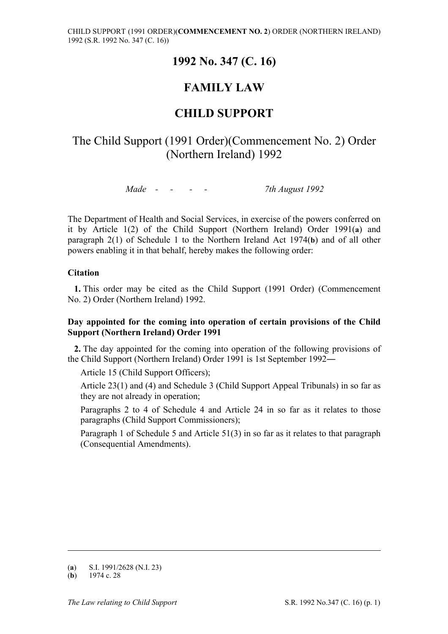### **1992 No. 347 (C. 16)**

# **FAMILY LAW**

### **CHILD SUPPORT**

# The Child Support (1991 Order)(Commencement No. 2) Order (Northern Ireland) 1992

*Made - - - - 7th August 1992* 

The Department of Health and Social Services, in exercise of the powers conferred on it by Article 1(2) of the Child Support (Northern Ireland) Order 1991(**a**) and paragraph 2(1) of Schedule 1 to the Northern Ireland Act 1974(**b**) and of all other powers enabling it in that behalf, hereby makes the following order:

### **Citation**

**1.** This order may be cited as the Child Support (1991 Order) (Commencement No. 2) Order (Northern Ireland) 1992.

### **Day appointed for the coming into operation of certain provisions of the Child Support (Northern Ireland) Order 1991**

**2.** The day appointed for the coming into operation of the following provisions of the Child Support (Northern Ireland) Order 1991 is 1st September 1992―

Article 15 (Child Support Officers);

Article 23(1) and (4) and Schedule 3 (Child Support Appeal Tribunals) in so far as they are not already in operation;

Paragraphs 2 to 4 of Schedule 4 and Article 24 in so far as it relates to those paragraphs (Child Support Commissioners);

Paragraph 1 of Schedule 5 and Article 51(3) in so far as it relates to that paragraph (Consequential Amendments).

-

<sup>(</sup>**a**) S.I. 1991/2628 (N.I. 23)

 $(b)$  1974 c. 28